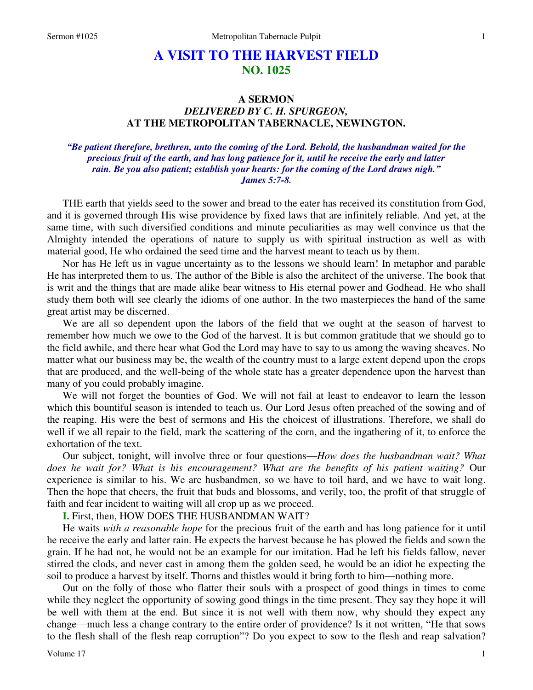## **A VISIT TO THE HARVEST FIELD NO. 1025**

## **A SERMON**  *DELIVERED BY C. H. SPURGEON,*  **AT THE METROPOLITAN TABERNACLE, NEWINGTON.**

*"Be patient therefore, brethren, unto the coming of the Lord. Behold, the husbandman waited for the precious fruit of the earth, and has long patience for it, until he receive the early and latter rain. Be you also patient; establish your hearts: for the coming of the Lord draws nigh." James 5:7-8.* 

THE earth that yields seed to the sower and bread to the eater has received its constitution from God, and it is governed through His wise providence by fixed laws that are infinitely reliable. And yet, at the same time, with such diversified conditions and minute peculiarities as may well convince us that the Almighty intended the operations of nature to supply us with spiritual instruction as well as with material good, He who ordained the seed time and the harvest meant to teach us by them.

Nor has He left us in vague uncertainty as to the lessons we should learn! In metaphor and parable He has interpreted them to us. The author of the Bible is also the architect of the universe. The book that is writ and the things that are made alike bear witness to His eternal power and Godhead. He who shall study them both will see clearly the idioms of one author. In the two masterpieces the hand of the same great artist may be discerned.

We are all so dependent upon the labors of the field that we ought at the season of harvest to remember how much we owe to the God of the harvest. It is but common gratitude that we should go to the field awhile, and there hear what God the Lord may have to say to us among the waving sheaves. No matter what our business may be, the wealth of the country must to a large extent depend upon the crops that are produced, and the well-being of the whole state has a greater dependence upon the harvest than many of you could probably imagine.

We will not forget the bounties of God. We will not fail at least to endeavor to learn the lesson which this bountiful season is intended to teach us. Our Lord Jesus often preached of the sowing and of the reaping. His were the best of sermons and His the choicest of illustrations. Therefore, we shall do well if we all repair to the field, mark the scattering of the corn, and the ingathering of it, to enforce the exhortation of the text.

Our subject, tonight, will involve three or four questions—*How does the husbandman wait? What does he wait for? What is his encouragement? What are the benefits of his patient waiting?* Our experience is similar to his. We are husbandmen, so we have to toil hard, and we have to wait long. Then the hope that cheers, the fruit that buds and blossoms, and verily, too, the profit of that struggle of faith and fear incident to waiting will all crop up as we proceed.

**I.** First, then, HOW DOES THE HUSBANDMAN WAIT?

He waits *with a reasonable hope* for the precious fruit of the earth and has long patience for it until he receive the early and latter rain. He expects the harvest because he has plowed the fields and sown the grain. If he had not, he would not be an example for our imitation. Had he left his fields fallow, never stirred the clods, and never cast in among them the golden seed, he would be an idiot he expecting the soil to produce a harvest by itself. Thorns and thistles would it bring forth to him—nothing more.

Out on the folly of those who flatter their souls with a prospect of good things in times to come while they neglect the opportunity of sowing good things in the time present. They say they hope it will be well with them at the end. But since it is not well with them now, why should they expect any change—much less a change contrary to the entire order of providence? Is it not written, "He that sows to the flesh shall of the flesh reap corruption"? Do you expect to sow to the flesh and reap salvation?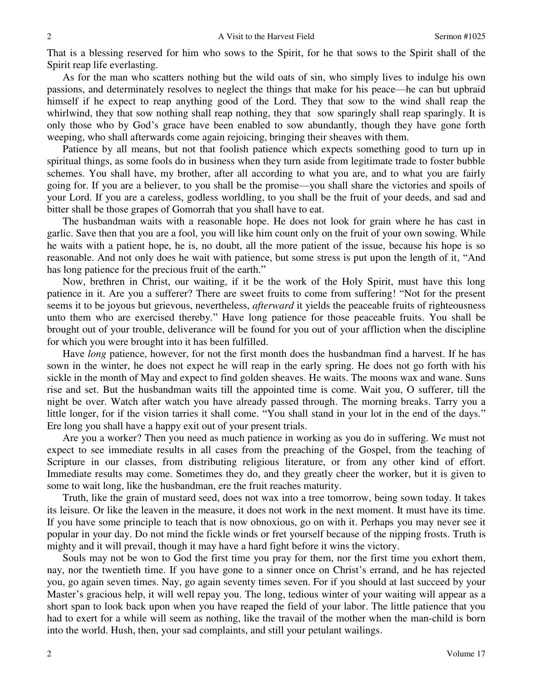That is a blessing reserved for him who sows to the Spirit, for he that sows to the Spirit shall of the Spirit reap life everlasting.

As for the man who scatters nothing but the wild oats of sin, who simply lives to indulge his own passions, and determinately resolves to neglect the things that make for his peace—he can but upbraid himself if he expect to reap anything good of the Lord. They that sow to the wind shall reap the whirlwind, they that sow nothing shall reap nothing, they that sow sparingly shall reap sparingly. It is only those who by God's grace have been enabled to sow abundantly, though they have gone forth weeping, who shall afterwards come again rejoicing, bringing their sheaves with them.

Patience by all means, but not that foolish patience which expects something good to turn up in spiritual things, as some fools do in business when they turn aside from legitimate trade to foster bubble schemes. You shall have, my brother, after all according to what you are, and to what you are fairly going for. If you are a believer, to you shall be the promise—you shall share the victories and spoils of your Lord. If you are a careless, godless worldling, to you shall be the fruit of your deeds, and sad and bitter shall be those grapes of Gomorrah that you shall have to eat.

The husbandman waits with a reasonable hope. He does not look for grain where he has cast in garlic. Save then that you are a fool, you will like him count only on the fruit of your own sowing. While he waits with a patient hope, he is, no doubt, all the more patient of the issue, because his hope is so reasonable. And not only does he wait with patience, but some stress is put upon the length of it, "And has long patience for the precious fruit of the earth."

Now, brethren in Christ, our waiting, if it be the work of the Holy Spirit, must have this long patience in it. Are you a sufferer? There are sweet fruits to come from suffering! "Not for the present seems it to be joyous but grievous, nevertheless, *afterward* it yields the peaceable fruits of righteousness unto them who are exercised thereby." Have long patience for those peaceable fruits. You shall be brought out of your trouble, deliverance will be found for you out of your affliction when the discipline for which you were brought into it has been fulfilled.

Have *long* patience, however, for not the first month does the husbandman find a harvest. If he has sown in the winter, he does not expect he will reap in the early spring. He does not go forth with his sickle in the month of May and expect to find golden sheaves. He waits. The moons wax and wane. Suns rise and set. But the husbandman waits till the appointed time is come. Wait you, O sufferer, till the night be over. Watch after watch you have already passed through. The morning breaks. Tarry you a little longer, for if the vision tarries it shall come. "You shall stand in your lot in the end of the days." Ere long you shall have a happy exit out of your present trials.

Are you a worker? Then you need as much patience in working as you do in suffering. We must not expect to see immediate results in all cases from the preaching of the Gospel, from the teaching of Scripture in our classes, from distributing religious literature, or from any other kind of effort. Immediate results may come. Sometimes they do, and they greatly cheer the worker, but it is given to some to wait long, like the husbandman, ere the fruit reaches maturity.

Truth, like the grain of mustard seed, does not wax into a tree tomorrow, being sown today. It takes its leisure. Or like the leaven in the measure, it does not work in the next moment. It must have its time. If you have some principle to teach that is now obnoxious, go on with it. Perhaps you may never see it popular in your day. Do not mind the fickle winds or fret yourself because of the nipping frosts. Truth is mighty and it will prevail, though it may have a hard fight before it wins the victory.

Souls may not be won to God the first time you pray for them, nor the first time you exhort them, nay, nor the twentieth time. If you have gone to a sinner once on Christ's errand, and he has rejected you, go again seven times. Nay, go again seventy times seven. For if you should at last succeed by your Master's gracious help, it will well repay you. The long, tedious winter of your waiting will appear as a short span to look back upon when you have reaped the field of your labor. The little patience that you had to exert for a while will seem as nothing, like the travail of the mother when the man-child is born into the world. Hush, then, your sad complaints, and still your petulant wailings.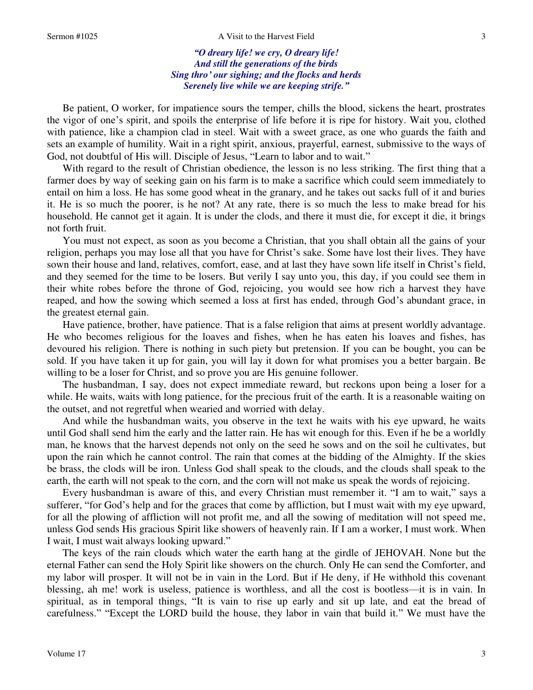*"O dreary life! we cry, O dreary life! And still the generations of the birds Sing thro' our sighing; and the flocks and herds* 

*Serenely live while we are keeping strife."*

Be patient, O worker, for impatience sours the temper, chills the blood, sickens the heart, prostrates the vigor of one's spirit, and spoils the enterprise of life before it is ripe for history. Wait you, clothed with patience, like a champion clad in steel. Wait with a sweet grace, as one who guards the faith and sets an example of humility. Wait in a right spirit, anxious, prayerful, earnest, submissive to the ways of God, not doubtful of His will. Disciple of Jesus, "Learn to labor and to wait."

With regard to the result of Christian obedience, the lesson is no less striking. The first thing that a farmer does by way of seeking gain on his farm is to make a sacrifice which could seem immediately to entail on him a loss. He has some good wheat in the granary, and he takes out sacks full of it and buries it. He is so much the poorer, is he not? At any rate, there is so much the less to make bread for his household. He cannot get it again. It is under the clods, and there it must die, for except it die, it brings not forth fruit.

You must not expect, as soon as you become a Christian, that you shall obtain all the gains of your religion, perhaps you may lose all that you have for Christ's sake. Some have lost their lives. They have sown their house and land, relatives, comfort, ease, and at last they have sown life itself in Christ's field, and they seemed for the time to be losers. But verily I say unto you, this day, if you could see them in their white robes before the throne of God, rejoicing, you would see how rich a harvest they have reaped, and how the sowing which seemed a loss at first has ended, through God's abundant grace, in the greatest eternal gain.

Have patience, brother, have patience. That is a false religion that aims at present worldly advantage. He who becomes religious for the loaves and fishes, when he has eaten his loaves and fishes, has devoured his religion. There is nothing in such piety but pretension. If you can be bought, you can be sold. If you have taken it up for gain, you will lay it down for what promises you a better bargain. Be willing to be a loser for Christ, and so prove you are His genuine follower.

The husbandman, I say, does not expect immediate reward, but reckons upon being a loser for a while. He waits, waits with long patience, for the precious fruit of the earth. It is a reasonable waiting on the outset, and not regretful when wearied and worried with delay.

And while the husbandman waits, you observe in the text he waits with his eye upward, he waits until God shall send him the early and the latter rain. He has wit enough for this. Even if he be a worldly man, he knows that the harvest depends not only on the seed he sows and on the soil he cultivates, but upon the rain which he cannot control. The rain that comes at the bidding of the Almighty. If the skies be brass, the clods will be iron. Unless God shall speak to the clouds, and the clouds shall speak to the earth, the earth will not speak to the corn, and the corn will not make us speak the words of rejoicing.

Every husbandman is aware of this, and every Christian must remember it. "I am to wait," says a sufferer, "for God's help and for the graces that come by affliction, but I must wait with my eye upward, for all the plowing of affliction will not profit me, and all the sowing of meditation will not speed me, unless God sends His gracious Spirit like showers of heavenly rain. If I am a worker, I must work. When I wait, I must wait always looking upward."

The keys of the rain clouds which water the earth hang at the girdle of JEHOVAH. None but the eternal Father can send the Holy Spirit like showers on the church. Only He can send the Comforter, and my labor will prosper. It will not be in vain in the Lord. But if He deny, if He withhold this covenant blessing, ah me! work is useless, patience is worthless, and all the cost is bootless—it is in vain. In spiritual, as in temporal things, "It is vain to rise up early and sit up late, and eat the bread of carefulness." "Except the LORD build the house, they labor in vain that build it." We must have the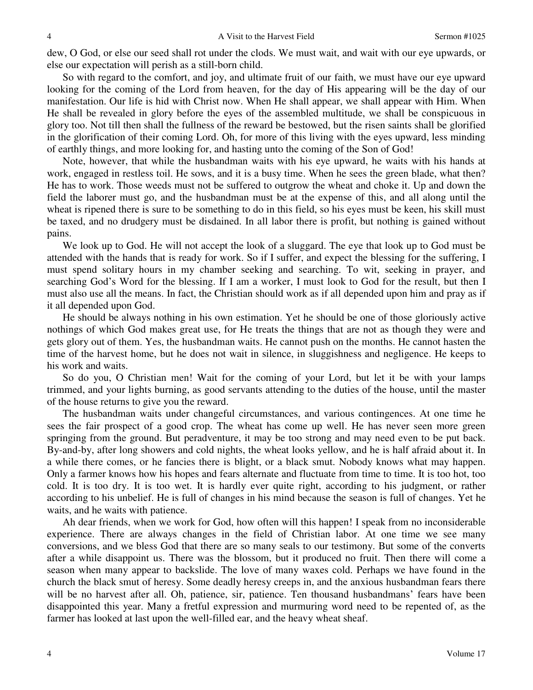dew, O God, or else our seed shall rot under the clods. We must wait, and wait with our eye upwards, or else our expectation will perish as a still-born child.

So with regard to the comfort, and joy, and ultimate fruit of our faith, we must have our eye upward looking for the coming of the Lord from heaven, for the day of His appearing will be the day of our manifestation. Our life is hid with Christ now. When He shall appear, we shall appear with Him. When He shall be revealed in glory before the eyes of the assembled multitude, we shall be conspicuous in glory too. Not till then shall the fullness of the reward be bestowed, but the risen saints shall be glorified in the glorification of their coming Lord. Oh, for more of this living with the eyes upward, less minding of earthly things, and more looking for, and hasting unto the coming of the Son of God!

Note, however, that while the husbandman waits with his eye upward, he waits with his hands at work, engaged in restless toil. He sows, and it is a busy time. When he sees the green blade, what then? He has to work. Those weeds must not be suffered to outgrow the wheat and choke it. Up and down the field the laborer must go, and the husbandman must be at the expense of this, and all along until the wheat is ripened there is sure to be something to do in this field, so his eyes must be keen, his skill must be taxed, and no drudgery must be disdained. In all labor there is profit, but nothing is gained without pains.

We look up to God. He will not accept the look of a sluggard. The eye that look up to God must be attended with the hands that is ready for work. So if I suffer, and expect the blessing for the suffering, I must spend solitary hours in my chamber seeking and searching. To wit, seeking in prayer, and searching God's Word for the blessing. If I am a worker, I must look to God for the result, but then I must also use all the means. In fact, the Christian should work as if all depended upon him and pray as if it all depended upon God.

He should be always nothing in his own estimation. Yet he should be one of those gloriously active nothings of which God makes great use, for He treats the things that are not as though they were and gets glory out of them. Yes, the husbandman waits. He cannot push on the months. He cannot hasten the time of the harvest home, but he does not wait in silence, in sluggishness and negligence. He keeps to his work and waits.

So do you, O Christian men! Wait for the coming of your Lord, but let it be with your lamps trimmed, and your lights burning, as good servants attending to the duties of the house, until the master of the house returns to give you the reward.

The husbandman waits under changeful circumstances, and various contingences. At one time he sees the fair prospect of a good crop. The wheat has come up well. He has never seen more green springing from the ground. But peradventure, it may be too strong and may need even to be put back. By-and-by, after long showers and cold nights, the wheat looks yellow, and he is half afraid about it. In a while there comes, or he fancies there is blight, or a black smut. Nobody knows what may happen. Only a farmer knows how his hopes and fears alternate and fluctuate from time to time. It is too hot, too cold. It is too dry. It is too wet. It is hardly ever quite right, according to his judgment, or rather according to his unbelief. He is full of changes in his mind because the season is full of changes. Yet he waits, and he waits with patience.

Ah dear friends, when we work for God, how often will this happen! I speak from no inconsiderable experience. There are always changes in the field of Christian labor. At one time we see many conversions, and we bless God that there are so many seals to our testimony. But some of the converts after a while disappoint us. There was the blossom, but it produced no fruit. Then there will come a season when many appear to backslide. The love of many waxes cold. Perhaps we have found in the church the black smut of heresy. Some deadly heresy creeps in, and the anxious husbandman fears there will be no harvest after all. Oh, patience, sir, patience. Ten thousand husbandmans' fears have been disappointed this year. Many a fretful expression and murmuring word need to be repented of, as the farmer has looked at last upon the well-filled ear, and the heavy wheat sheaf.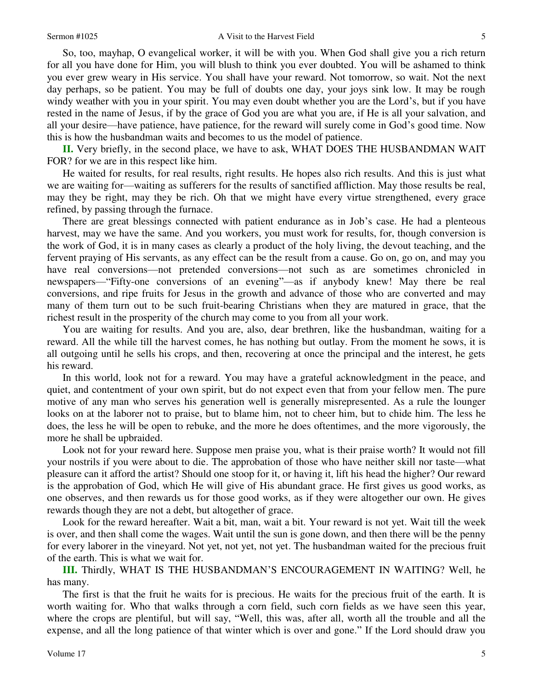So, too, mayhap, O evangelical worker, it will be with you. When God shall give you a rich return for all you have done for Him, you will blush to think you ever doubted. You will be ashamed to think you ever grew weary in His service. You shall have your reward. Not tomorrow, so wait. Not the next day perhaps, so be patient. You may be full of doubts one day, your joys sink low. It may be rough windy weather with you in your spirit. You may even doubt whether you are the Lord's, but if you have rested in the name of Jesus, if by the grace of God you are what you are, if He is all your salvation, and all your desire—have patience, have patience, for the reward will surely come in God's good time. Now this is how the husbandman waits and becomes to us the model of patience.

**II.** Very briefly, in the second place, we have to ask, WHAT DOES THE HUSBANDMAN WAIT FOR? for we are in this respect like him.

He waited for results, for real results, right results. He hopes also rich results. And this is just what we are waiting for—waiting as sufferers for the results of sanctified affliction. May those results be real, may they be right, may they be rich. Oh that we might have every virtue strengthened, every grace refined, by passing through the furnace.

There are great blessings connected with patient endurance as in Job's case. He had a plenteous harvest, may we have the same. And you workers, you must work for results, for, though conversion is the work of God, it is in many cases as clearly a product of the holy living, the devout teaching, and the fervent praying of His servants, as any effect can be the result from a cause. Go on, go on, and may you have real conversions—not pretended conversions—not such as are sometimes chronicled in newspapers—"Fifty-one conversions of an evening"—as if anybody knew! May there be real conversions, and ripe fruits for Jesus in the growth and advance of those who are converted and may many of them turn out to be such fruit-bearing Christians when they are matured in grace, that the richest result in the prosperity of the church may come to you from all your work.

You are waiting for results. And you are, also, dear brethren, like the husbandman, waiting for a reward. All the while till the harvest comes, he has nothing but outlay. From the moment he sows, it is all outgoing until he sells his crops, and then, recovering at once the principal and the interest, he gets his reward.

In this world, look not for a reward. You may have a grateful acknowledgment in the peace, and quiet, and contentment of your own spirit, but do not expect even that from your fellow men. The pure motive of any man who serves his generation well is generally misrepresented. As a rule the lounger looks on at the laborer not to praise, but to blame him, not to cheer him, but to chide him. The less he does, the less he will be open to rebuke, and the more he does oftentimes, and the more vigorously, the more he shall be upbraided.

Look not for your reward here. Suppose men praise you, what is their praise worth? It would not fill your nostrils if you were about to die. The approbation of those who have neither skill nor taste—what pleasure can it afford the artist? Should one stoop for it, or having it, lift his head the higher? Our reward is the approbation of God, which He will give of His abundant grace. He first gives us good works, as one observes, and then rewards us for those good works, as if they were altogether our own. He gives rewards though they are not a debt, but altogether of grace.

Look for the reward hereafter. Wait a bit, man, wait a bit. Your reward is not yet. Wait till the week is over, and then shall come the wages. Wait until the sun is gone down, and then there will be the penny for every laborer in the vineyard. Not yet, not yet, not yet. The husbandman waited for the precious fruit of the earth. This is what we wait for.

**III.** Thirdly, WHAT IS THE HUSBANDMAN'S ENCOURAGEMENT IN WAITING? Well, he has many.

The first is that the fruit he waits for is precious. He waits for the precious fruit of the earth. It is worth waiting for. Who that walks through a corn field, such corn fields as we have seen this year, where the crops are plentiful, but will say, "Well, this was, after all, worth all the trouble and all the expense, and all the long patience of that winter which is over and gone." If the Lord should draw you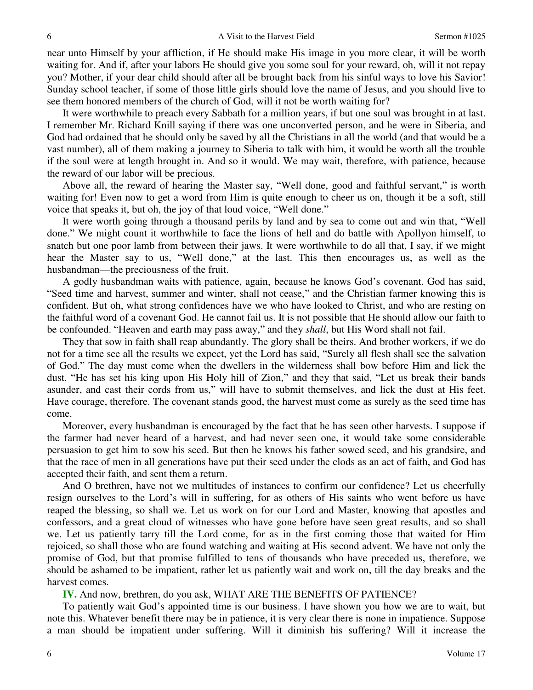near unto Himself by your affliction, if He should make His image in you more clear, it will be worth waiting for. And if, after your labors He should give you some soul for your reward, oh, will it not repay you? Mother, if your dear child should after all be brought back from his sinful ways to love his Savior! Sunday school teacher, if some of those little girls should love the name of Jesus, and you should live to see them honored members of the church of God, will it not be worth waiting for?

It were worthwhile to preach every Sabbath for a million years, if but one soul was brought in at last. I remember Mr. Richard Knill saying if there was one unconverted person, and he were in Siberia, and God had ordained that he should only be saved by all the Christians in all the world (and that would be a vast number), all of them making a journey to Siberia to talk with him, it would be worth all the trouble if the soul were at length brought in. And so it would. We may wait, therefore, with patience, because the reward of our labor will be precious.

Above all, the reward of hearing the Master say, "Well done, good and faithful servant," is worth waiting for! Even now to get a word from Him is quite enough to cheer us on, though it be a soft, still voice that speaks it, but oh, the joy of that loud voice, "Well done."

It were worth going through a thousand perils by land and by sea to come out and win that, "Well done." We might count it worthwhile to face the lions of hell and do battle with Apollyon himself, to snatch but one poor lamb from between their jaws. It were worthwhile to do all that, I say, if we might hear the Master say to us, "Well done," at the last. This then encourages us, as well as the husbandman—the preciousness of the fruit.

A godly husbandman waits with patience, again, because he knows God's covenant. God has said, "Seed time and harvest, summer and winter, shall not cease," and the Christian farmer knowing this is confident. But oh, what strong confidences have we who have looked to Christ, and who are resting on the faithful word of a covenant God. He cannot fail us. It is not possible that He should allow our faith to be confounded. "Heaven and earth may pass away," and they *shall*, but His Word shall not fail.

They that sow in faith shall reap abundantly. The glory shall be theirs. And brother workers, if we do not for a time see all the results we expect, yet the Lord has said, "Surely all flesh shall see the salvation of God." The day must come when the dwellers in the wilderness shall bow before Him and lick the dust. "He has set his king upon His Holy hill of Zion," and they that said, "Let us break their bands asunder, and cast their cords from us," will have to submit themselves, and lick the dust at His feet. Have courage, therefore. The covenant stands good, the harvest must come as surely as the seed time has come.

Moreover, every husbandman is encouraged by the fact that he has seen other harvests. I suppose if the farmer had never heard of a harvest, and had never seen one, it would take some considerable persuasion to get him to sow his seed. But then he knows his father sowed seed, and his grandsire, and that the race of men in all generations have put their seed under the clods as an act of faith, and God has accepted their faith, and sent them a return.

And O brethren, have not we multitudes of instances to confirm our confidence? Let us cheerfully resign ourselves to the Lord's will in suffering, for as others of His saints who went before us have reaped the blessing, so shall we. Let us work on for our Lord and Master, knowing that apostles and confessors, and a great cloud of witnesses who have gone before have seen great results, and so shall we. Let us patiently tarry till the Lord come, for as in the first coming those that waited for Him rejoiced, so shall those who are found watching and waiting at His second advent. We have not only the promise of God, but that promise fulfilled to tens of thousands who have preceded us, therefore, we should be ashamed to be impatient, rather let us patiently wait and work on, till the day breaks and the harvest comes.

**IV.** And now, brethren, do you ask, WHAT ARE THE BENEFITS OF PATIENCE?

To patiently wait God's appointed time is our business. I have shown you how we are to wait, but note this. Whatever benefit there may be in patience, it is very clear there is none in impatience. Suppose a man should be impatient under suffering. Will it diminish his suffering? Will it increase the

6

6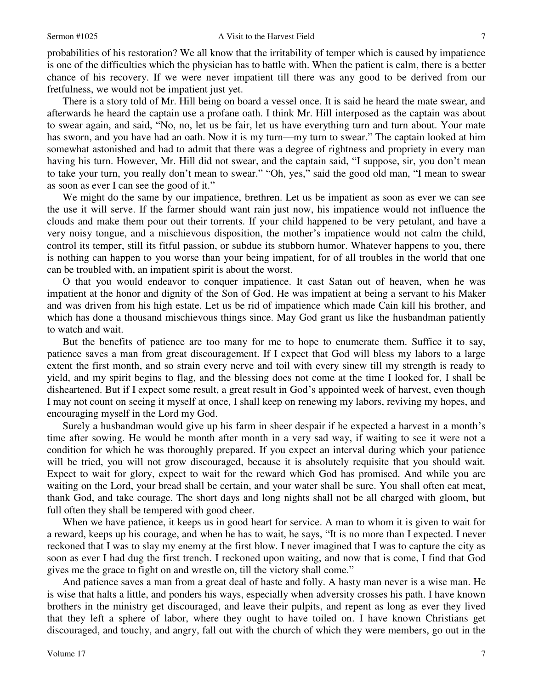probabilities of his restoration? We all know that the irritability of temper which is caused by impatience is one of the difficulties which the physician has to battle with. When the patient is calm, there is a better chance of his recovery. If we were never impatient till there was any good to be derived from our fretfulness, we would not be impatient just yet.

There is a story told of Mr. Hill being on board a vessel once. It is said he heard the mate swear, and afterwards he heard the captain use a profane oath. I think Mr. Hill interposed as the captain was about to swear again, and said, "No, no, let us be fair, let us have everything turn and turn about. Your mate has sworn, and you have had an oath. Now it is my turn—my turn to swear." The captain looked at him somewhat astonished and had to admit that there was a degree of rightness and propriety in every man having his turn. However, Mr. Hill did not swear, and the captain said, "I suppose, sir, you don't mean to take your turn, you really don't mean to swear." "Oh, yes," said the good old man, "I mean to swear as soon as ever I can see the good of it."

We might do the same by our impatience, brethren. Let us be impatient as soon as ever we can see the use it will serve. If the farmer should want rain just now, his impatience would not influence the clouds and make them pour out their torrents. If your child happened to be very petulant, and have a very noisy tongue, and a mischievous disposition, the mother's impatience would not calm the child, control its temper, still its fitful passion, or subdue its stubborn humor. Whatever happens to you, there is nothing can happen to you worse than your being impatient, for of all troubles in the world that one can be troubled with, an impatient spirit is about the worst.

O that you would endeavor to conquer impatience. It cast Satan out of heaven, when he was impatient at the honor and dignity of the Son of God. He was impatient at being a servant to his Maker and was driven from his high estate. Let us be rid of impatience which made Cain kill his brother, and which has done a thousand mischievous things since. May God grant us like the husbandman patiently to watch and wait.

But the benefits of patience are too many for me to hope to enumerate them. Suffice it to say, patience saves a man from great discouragement. If I expect that God will bless my labors to a large extent the first month, and so strain every nerve and toil with every sinew till my strength is ready to yield, and my spirit begins to flag, and the blessing does not come at the time I looked for, I shall be disheartened. But if I expect some result, a great result in God's appointed week of harvest, even though I may not count on seeing it myself at once, I shall keep on renewing my labors, reviving my hopes, and encouraging myself in the Lord my God.

Surely a husbandman would give up his farm in sheer despair if he expected a harvest in a month's time after sowing. He would be month after month in a very sad way, if waiting to see it were not a condition for which he was thoroughly prepared. If you expect an interval during which your patience will be tried, you will not grow discouraged, because it is absolutely requisite that you should wait. Expect to wait for glory, expect to wait for the reward which God has promised. And while you are waiting on the Lord, your bread shall be certain, and your water shall be sure. You shall often eat meat, thank God, and take courage. The short days and long nights shall not be all charged with gloom, but full often they shall be tempered with good cheer.

When we have patience, it keeps us in good heart for service. A man to whom it is given to wait for a reward, keeps up his courage, and when he has to wait, he says, "It is no more than I expected. I never reckoned that I was to slay my enemy at the first blow. I never imagined that I was to capture the city as soon as ever I had dug the first trench. I reckoned upon waiting, and now that is come, I find that God gives me the grace to fight on and wrestle on, till the victory shall come."

And patience saves a man from a great deal of haste and folly. A hasty man never is a wise man. He is wise that halts a little, and ponders his ways, especially when adversity crosses his path. I have known brothers in the ministry get discouraged, and leave their pulpits, and repent as long as ever they lived that they left a sphere of labor, where they ought to have toiled on. I have known Christians get discouraged, and touchy, and angry, fall out with the church of which they were members, go out in the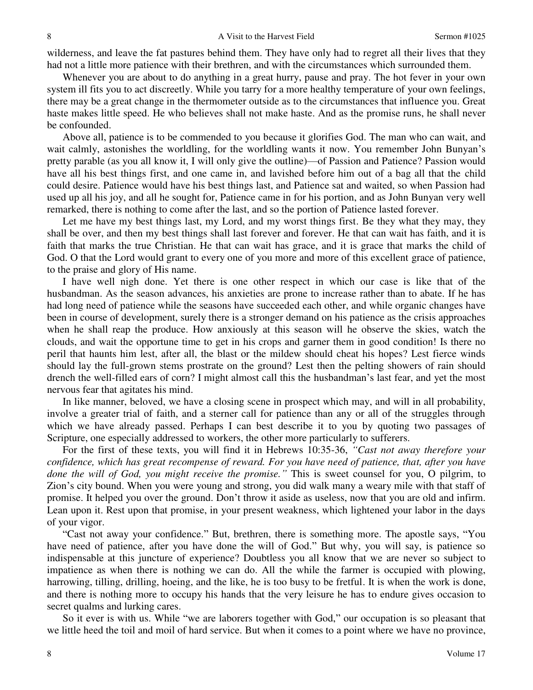wilderness, and leave the fat pastures behind them. They have only had to regret all their lives that they had not a little more patience with their brethren, and with the circumstances which surrounded them.

Whenever you are about to do anything in a great hurry, pause and pray. The hot fever in your own system ill fits you to act discreetly. While you tarry for a more healthy temperature of your own feelings, there may be a great change in the thermometer outside as to the circumstances that influence you. Great haste makes little speed. He who believes shall not make haste. And as the promise runs, he shall never be confounded.

Above all, patience is to be commended to you because it glorifies God. The man who can wait, and wait calmly, astonishes the worldling, for the worldling wants it now. You remember John Bunyan's pretty parable (as you all know it, I will only give the outline)—of Passion and Patience? Passion would have all his best things first, and one came in, and lavished before him out of a bag all that the child could desire. Patience would have his best things last, and Patience sat and waited, so when Passion had used up all his joy, and all he sought for, Patience came in for his portion, and as John Bunyan very well remarked, there is nothing to come after the last, and so the portion of Patience lasted forever.

Let me have my best things last, my Lord, and my worst things first. Be they what they may, they shall be over, and then my best things shall last forever and forever. He that can wait has faith, and it is faith that marks the true Christian. He that can wait has grace, and it is grace that marks the child of God. O that the Lord would grant to every one of you more and more of this excellent grace of patience, to the praise and glory of His name.

I have well nigh done. Yet there is one other respect in which our case is like that of the husbandman. As the season advances, his anxieties are prone to increase rather than to abate. If he has had long need of patience while the seasons have succeeded each other, and while organic changes have been in course of development, surely there is a stronger demand on his patience as the crisis approaches when he shall reap the produce. How anxiously at this season will he observe the skies, watch the clouds, and wait the opportune time to get in his crops and garner them in good condition! Is there no peril that haunts him lest, after all, the blast or the mildew should cheat his hopes? Lest fierce winds should lay the full-grown stems prostrate on the ground? Lest then the pelting showers of rain should drench the well-filled ears of corn? I might almost call this the husbandman's last fear, and yet the most nervous fear that agitates his mind.

In like manner, beloved, we have a closing scene in prospect which may, and will in all probability, involve a greater trial of faith, and a sterner call for patience than any or all of the struggles through which we have already passed. Perhaps I can best describe it to you by quoting two passages of Scripture, one especially addressed to workers, the other more particularly to sufferers.

For the first of these texts, you will find it in Hebrews 10:35-36, *"Cast not away therefore your confidence, which has great recompense of reward. For you have need of patience, that, after you have done the will of God, you might receive the promise."* This is sweet counsel for you, O pilgrim, to Zion's city bound. When you were young and strong, you did walk many a weary mile with that staff of promise. It helped you over the ground. Don't throw it aside as useless, now that you are old and infirm. Lean upon it. Rest upon that promise, in your present weakness, which lightened your labor in the days of your vigor.

"Cast not away your confidence." But, brethren, there is something more. The apostle says, "You have need of patience, after you have done the will of God." But why, you will say, is patience so indispensable at this juncture of experience? Doubtless you all know that we are never so subject to impatience as when there is nothing we can do. All the while the farmer is occupied with plowing, harrowing, tilling, drilling, hoeing, and the like, he is too busy to be fretful. It is when the work is done, and there is nothing more to occupy his hands that the very leisure he has to endure gives occasion to secret qualms and lurking cares.

So it ever is with us. While "we are laborers together with God," our occupation is so pleasant that we little heed the toil and moil of hard service. But when it comes to a point where we have no province,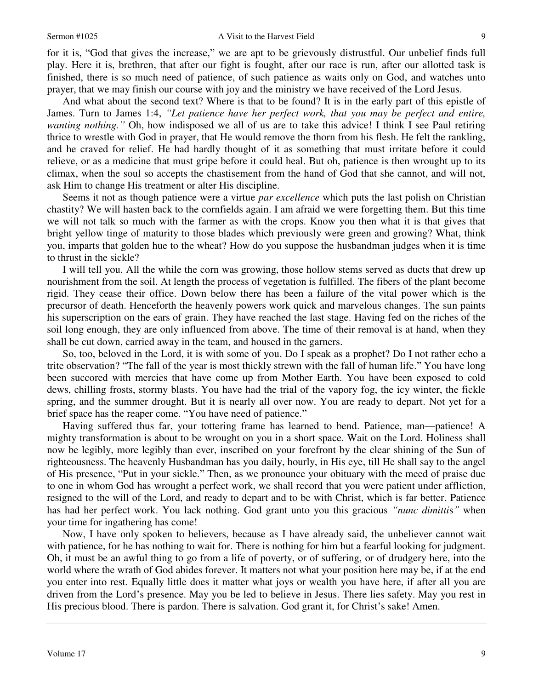## Sermon #1025 A Visit to the Harvest Field

for it is, "God that gives the increase," we are apt to be grievously distrustful. Our unbelief finds full play. Here it is, brethren, that after our fight is fought, after our race is run, after our allotted task is finished, there is so much need of patience, of such patience as waits only on God, and watches unto prayer, that we may finish our course with joy and the ministry we have received of the Lord Jesus.

And what about the second text? Where is that to be found? It is in the early part of this epistle of James. Turn to James 1:4, *"Let patience have her perfect work, that you may be perfect and entire, wanting nothing.*<sup>"</sup> Oh, how indisposed we all of us are to take this advice! I think I see Paul retiring thrice to wrestle with God in prayer, that He would remove the thorn from his flesh. He felt the rankling, and he craved for relief. He had hardly thought of it as something that must irritate before it could relieve, or as a medicine that must gripe before it could heal. But oh, patience is then wrought up to its climax, when the soul so accepts the chastisement from the hand of God that she cannot, and will not, ask Him to change His treatment or alter His discipline.

Seems it not as though patience were a virtue *par excellence* which puts the last polish on Christian chastity? We will hasten back to the cornfields again. I am afraid we were forgetting them. But this time we will not talk so much with the farmer as with the crops. Know you then what it is that gives that bright yellow tinge of maturity to those blades which previously were green and growing? What, think you, imparts that golden hue to the wheat? How do you suppose the husbandman judges when it is time to thrust in the sickle?

I will tell you. All the while the corn was growing, those hollow stems served as ducts that drew up nourishment from the soil. At length the process of vegetation is fulfilled. The fibers of the plant become rigid. They cease their office. Down below there has been a failure of the vital power which is the precursor of death. Henceforth the heavenly powers work quick and marvelous changes. The sun paints his superscription on the ears of grain. They have reached the last stage. Having fed on the riches of the soil long enough, they are only influenced from above. The time of their removal is at hand, when they shall be cut down, carried away in the team, and housed in the garners.

So, too, beloved in the Lord, it is with some of you. Do I speak as a prophet? Do I not rather echo a trite observation? "The fall of the year is most thickly strewn with the fall of human life." You have long been succored with mercies that have come up from Mother Earth. You have been exposed to cold dews, chilling frosts, stormy blasts. You have had the trial of the vapory fog, the icy winter, the fickle spring, and the summer drought. But it is nearly all over now. You are ready to depart. Not yet for a brief space has the reaper come. "You have need of patience."

Having suffered thus far, your tottering frame has learned to bend. Patience, man—patience! A mighty transformation is about to be wrought on you in a short space. Wait on the Lord. Holiness shall now be legibly, more legibly than ever, inscribed on your forefront by the clear shining of the Sun of righteousness. The heavenly Husbandman has you daily, hourly, in His eye, till He shall say to the angel of His presence, "Put in your sickle." Then, as we pronounce your obituary with the meed of praise due to one in whom God has wrought a perfect work, we shall record that you were patient under affliction, resigned to the will of the Lord, and ready to depart and to be with Christ, which is far better. Patience has had her perfect work. You lack nothing. God grant unto you this gracious *"nunc dimitti*s*"* when your time for ingathering has come!

Now, I have only spoken to believers, because as I have already said, the unbeliever cannot wait with patience, for he has nothing to wait for. There is nothing for him but a fearful looking for judgment. Oh, it must be an awful thing to go from a life of poverty, or of suffering, or of drudgery here, into the world where the wrath of God abides forever. It matters not what your position here may be, if at the end you enter into rest. Equally little does it matter what joys or wealth you have here, if after all you are driven from the Lord's presence. May you be led to believe in Jesus. There lies safety. May you rest in His precious blood. There is pardon. There is salvation. God grant it, for Christ's sake! Amen.